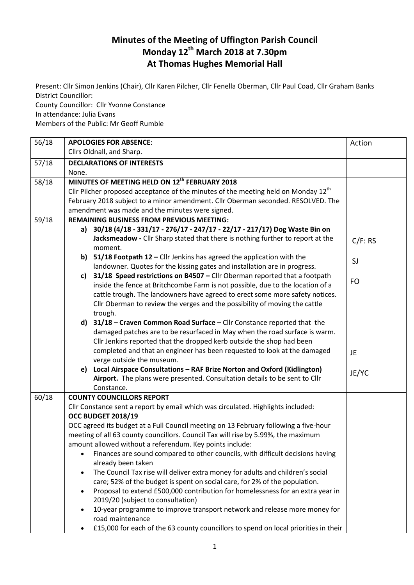## **Minutes of the Meeting of Uffington Parish Council Monday 12th March 2018 at 7.30pm At Thomas Hughes Memorial Hall**

Present: Cllr Simon Jenkins (Chair), Cllr Karen Pilcher, Cllr Fenella Oberman, Cllr Paul Coad, Cllr Graham Banks District Councillor: County Councillor: Cllr Yvonne Constance

In attendance: Julia Evans

Members of the Public: Mr Geoff Rumble

| 56/18 | <b>APOLOGIES FOR ABSENCE:</b>                                                                              | Action  |
|-------|------------------------------------------------------------------------------------------------------------|---------|
|       | Cllrs Oldnall, and Sharp.                                                                                  |         |
| 57/18 | <b>DECLARATIONS OF INTERESTS</b>                                                                           |         |
|       | None.                                                                                                      |         |
| 58/18 | MINUTES OF MEETING HELD ON 12 <sup>th</sup> FEBRUARY 2018                                                  |         |
|       | Cllr Pilcher proposed acceptance of the minutes of the meeting held on Monday $12th$                       |         |
|       | February 2018 subject to a minor amendment. Cllr Oberman seconded. RESOLVED. The                           |         |
|       | amendment was made and the minutes were signed.                                                            |         |
| 59/18 | <b>REMAINING BUSINESS FROM PREVIOUS MEETING:</b>                                                           |         |
|       | 30/18 (4/18 - 331/17 - 276/17 - 247/17 - 22/17 - 217/17) Dog Waste Bin on<br>a)                            |         |
|       | Jacksmeadow - Cllr Sharp stated that there is nothing further to report at the<br>moment.                  | C/F: RS |
|       | b) $51/18$ Footpath 12 – Cllr Jenkins has agreed the application with the                                  |         |
|       | landowner. Quotes for the kissing gates and installation are in progress.                                  | SJ      |
|       | 31/18 Speed restrictions on B4507 - Cllr Oberman reported that a footpath<br>c)                            |         |
|       | inside the fence at Britchcombe Farm is not possible, due to the location of a                             | FO      |
|       | cattle trough. The landowners have agreed to erect some more safety notices.                               |         |
|       | Cllr Oberman to review the verges and the possibility of moving the cattle                                 |         |
|       | trough.                                                                                                    |         |
|       | d) 31/18 - Craven Common Road Surface - Cllr Constance reported that the                                   |         |
|       | damaged patches are to be resurfaced in May when the road surface is warm.                                 |         |
|       | Cllr Jenkins reported that the dropped kerb outside the shop had been                                      |         |
|       | completed and that an engineer has been requested to look at the damaged                                   | JE      |
|       | verge outside the museum.                                                                                  |         |
|       | e) Local Airspace Consultations - RAF Brize Norton and Oxford (Kidlington)                                 | JE/YC   |
|       | Airport. The plans were presented. Consultation details to be sent to Cllr                                 |         |
|       | Constance.                                                                                                 |         |
| 60/18 | <b>COUNTY COUNCILLORS REPORT</b>                                                                           |         |
|       | Cllr Constance sent a report by email which was circulated. Highlights included:                           |         |
|       | <b>OCC BUDGET 2018/19</b>                                                                                  |         |
|       | OCC agreed its budget at a Full Council meeting on 13 February following a five-hour                       |         |
|       | meeting of all 63 county councillors. Council Tax will rise by 5.99%, the maximum                          |         |
|       | amount allowed without a referendum. Key points include:                                                   |         |
|       | Finances are sound compared to other councils, with difficult decisions having                             |         |
|       | already been taken                                                                                         |         |
|       | The Council Tax rise will deliver extra money for adults and children's social<br>$\bullet$                |         |
|       | care; 52% of the budget is spent on social care, for 2% of the population.                                 |         |
|       | Proposal to extend £500,000 contribution for homelessness for an extra year in<br>$\bullet$                |         |
|       | 2019/20 (subject to consultation)                                                                          |         |
|       | 10-year programme to improve transport network and release more money for<br>$\bullet$<br>road maintenance |         |
|       | £15,000 for each of the 63 county councillors to spend on local priorities in their                        |         |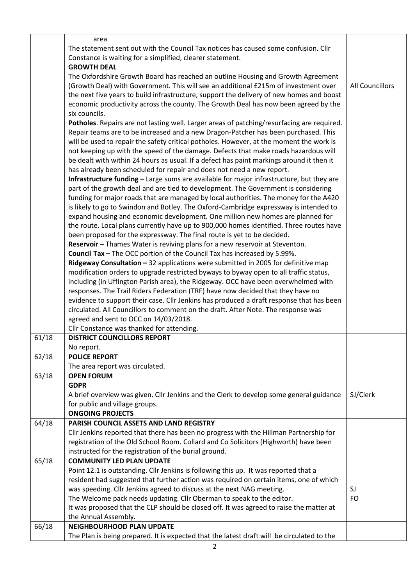|       | area                                                                                       |                        |
|-------|--------------------------------------------------------------------------------------------|------------------------|
|       | The statement sent out with the Council Tax notices has caused some confusion. Cllr        |                        |
|       |                                                                                            |                        |
|       | Constance is waiting for a simplified, clearer statement.                                  |                        |
|       | <b>GROWTH DEAL</b>                                                                         |                        |
|       | The Oxfordshire Growth Board has reached an outline Housing and Growth Agreement           |                        |
|       | (Growth Deal) with Government. This will see an additional £215m of investment over        | <b>All Councillors</b> |
|       | the next five years to build infrastructure, support the delivery of new homes and boost   |                        |
|       | economic productivity across the county. The Growth Deal has now been agreed by the        |                        |
|       | six councils.                                                                              |                        |
|       | Potholes. Repairs are not lasting well. Larger areas of patching/resurfacing are required. |                        |
|       |                                                                                            |                        |
|       | Repair teams are to be increased and a new Dragon-Patcher has been purchased. This         |                        |
|       | will be used to repair the safety critical potholes. However, at the moment the work is    |                        |
|       | not keeping up with the speed of the damage. Defects that make roads hazardous will        |                        |
|       | be dealt with within 24 hours as usual. If a defect has paint markings around it then it   |                        |
|       | has already been scheduled for repair and does not need a new report.                      |                        |
|       | Infrastructure funding - Large sums are available for major infrastructure, but they are   |                        |
|       | part of the growth deal and are tied to development. The Government is considering         |                        |
|       | funding for major roads that are managed by local authorities. The money for the A420      |                        |
|       | is likely to go to Swindon and Botley. The Oxford-Cambridge expressway is intended to      |                        |
|       | expand housing and economic development. One million new homes are planned for             |                        |
|       | the route. Local plans currently have up to 900,000 homes identified. Three routes have    |                        |
|       |                                                                                            |                        |
|       | been proposed for the expressway. The final route is yet to be decided.                    |                        |
|       | Reservoir - Thames Water is reviving plans for a new reservoir at Steventon.               |                        |
|       | Council Tax - The OCC portion of the Council Tax has increased by 5.99%.                   |                        |
|       | Ridgeway Consultation - 32 applications were submitted in 2005 for definitive map          |                        |
|       | modification orders to upgrade restricted byways to byway open to all traffic status,      |                        |
|       | including (in Uffington Parish area), the Ridgeway. OCC have been overwhelmed with         |                        |
|       | responses. The Trail Riders Federation (TRF) have now decided that they have no            |                        |
|       | evidence to support their case. Cllr Jenkins has produced a draft response that has been   |                        |
|       | circulated. All Councillors to comment on the draft. After Note. The response was          |                        |
|       | agreed and sent to OCC on 14/03/2018.                                                      |                        |
|       | Cllr Constance was thanked for attending.                                                  |                        |
| 61/18 | <b>DISTRICT COUNCILLORS REPORT</b>                                                         |                        |
|       | No report.                                                                                 |                        |
| 62/18 | <b>POLICE REPORT</b>                                                                       |                        |
|       | The area report was circulated.                                                            |                        |
| 63/18 | <b>OPEN FORUM</b>                                                                          |                        |
|       | <b>GDPR</b>                                                                                |                        |
|       | A brief overview was given. Cllr Jenkins and the Clerk to develop some general guidance    | SJ/Clerk               |
|       | for public and village groups.                                                             |                        |
|       | <b>ONGOING PROJECTS</b>                                                                    |                        |
| 64/18 | PARISH COUNCIL ASSETS AND LAND REGISTRY                                                    |                        |
|       | Cllr Jenkins reported that there has been no progress with the Hillman Partnership for     |                        |
|       | registration of the Old School Room. Collard and Co Solicitors (Highworth) have been       |                        |
|       | instructed for the registration of the burial ground.                                      |                        |
| 65/18 | <b>COMMUNITY LED PLAN UPDATE</b>                                                           |                        |
|       | Point 12.1 is outstanding. Cllr Jenkins is following this up. It was reported that a       |                        |
|       | resident had suggested that further action was required on certain items, one of which     |                        |
|       | was speeding. Cllr Jenkins agreed to discuss at the next NAG meeting.                      | SJ                     |
|       |                                                                                            | <b>FO</b>              |
|       | The Welcome pack needs updating. Cllr Oberman to speak to the editor.                      |                        |
|       | It was proposed that the CLP should be closed off. It was agreed to raise the matter at    |                        |
|       | the Annual Assembly.                                                                       |                        |
| 66/18 | <b>NEIGHBOURHOOD PLAN UPDATE</b>                                                           |                        |
|       | The Plan is being prepared. It is expected that the latest draft will be circulated to the |                        |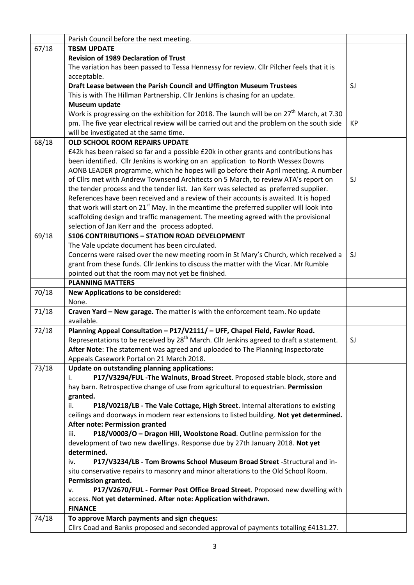|       | Parish Council before the next meeting.                                                               |    |
|-------|-------------------------------------------------------------------------------------------------------|----|
| 67/18 | <b>TBSM UPDATE</b>                                                                                    |    |
|       | <b>Revision of 1989 Declaration of Trust</b>                                                          |    |
|       | The variation has been passed to Tessa Hennessy for review. Cllr Pilcher feels that it is             |    |
|       | acceptable.                                                                                           |    |
|       | Draft Lease between the Parish Council and Uffington Museum Trustees                                  | SJ |
|       | This is with The Hillman Partnership. Cllr Jenkins is chasing for an update.                          |    |
|       | Museum update                                                                                         |    |
|       | Work is progressing on the exhibition for 2018. The launch will be on 27 <sup>th</sup> March, at 7.30 |    |
|       | pm. The five year electrical review will be carried out and the problem on the south side             | KP |
|       | will be investigated at the same time.                                                                |    |
| 68/18 | OLD SCHOOL ROOM REPAIRS UPDATE                                                                        |    |
|       | £42k has been raised so far and a possible £20k in other grants and contributions has                 |    |
|       | been identified. Cllr Jenkins is working on an application to North Wessex Downs                      |    |
|       | AONB LEADER programme, which he hopes will go before their April meeting. A number                    |    |
|       | of Cllrs met with Andrew Townsend Architects on 5 March, to review ATA's report on                    | SJ |
|       | the tender process and the tender list. Jan Kerr was selected as preferred supplier.                  |    |
|       | References have been received and a review of their accounts is awaited. It is hoped                  |    |
|       | that work will start on 21 <sup>st</sup> May. In the meantime the preferred supplier will look into   |    |
|       | scaffolding design and traffic management. The meeting agreed with the provisional                    |    |
|       | selection of Jan Kerr and the process adopted.                                                        |    |
| 69/18 | <b>S106 CONTRIBUTIONS - STATION ROAD DEVELOPMENT</b>                                                  |    |
|       | The Vale update document has been circulated.                                                         |    |
|       | Concerns were raised over the new meeting room in St Mary's Church, which received a                  | SJ |
|       | grant from these funds. Cllr Jenkins to discuss the matter with the Vicar. Mr Rumble                  |    |
|       | pointed out that the room may not yet be finished.                                                    |    |
|       | <b>PLANNING MATTERS</b>                                                                               |    |
| 70/18 | <b>New Applications to be considered:</b>                                                             |    |
|       | None.                                                                                                 |    |
| 71/18 | Craven Yard - New garage. The matter is with the enforcement team. No update                          |    |
|       | available.                                                                                            |    |
| 72/18 | Planning Appeal Consultation - P17/V2111/ - UFF, Chapel Field, Fawler Road.                           |    |
|       | Representations to be received by 28 <sup>th</sup> March. Cllr Jenkins agreed to draft a statement.   | SJ |
|       | After Note: The statement was agreed and uploaded to The Planning Inspectorate                        |    |
|       | Appeals Casework Portal on 21 March 2018.                                                             |    |
| 73/18 | Update on outstanding planning applications:                                                          |    |
|       | P17/V3294/FUL -The Walnuts, Broad Street. Proposed stable block, store and<br>i.                      |    |
|       | hay barn. Retrospective change of use from agricultural to equestrian. Permission                     |    |
|       | granted.                                                                                              |    |
|       | P18/V0218/LB - The Vale Cottage, High Street. Internal alterations to existing<br>ii.                 |    |
|       | ceilings and doorways in modern rear extensions to listed building. Not yet determined.               |    |
|       | <b>After note: Permission granted</b>                                                                 |    |
|       | iii.<br>P18/V0003/O - Dragon Hill, Woolstone Road. Outline permission for the                         |    |
|       | development of two new dwellings. Response due by 27th January 2018. Not yet                          |    |
|       | determined.                                                                                           |    |
|       | P17/V3234/LB - Tom Browns School Museum Broad Street - Structural and in-<br>iv.                      |    |
|       | situ conservative repairs to masonry and minor alterations to the Old School Room.                    |    |
|       | Permission granted.                                                                                   |    |
|       | P17/V2670/FUL - Former Post Office Broad Street. Proposed new dwelling with<br>v.                     |    |
|       | access. Not yet determined. After note: Application withdrawn.                                        |    |
|       | <b>FINANCE</b>                                                                                        |    |
| 74/18 | To approve March payments and sign cheques:                                                           |    |
|       | Cllrs Coad and Banks proposed and seconded approval of payments totalling £4131.27.                   |    |